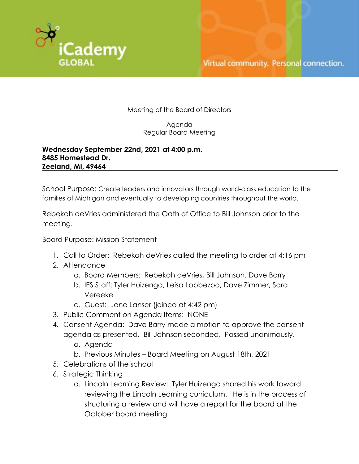

Meeting of the Board of Directors

Agenda Regular Board Meeting

## **Wednesday September 22nd, 2021 at 4:00 p.m. 8485 Homestead Dr. Zeeland, MI, 49464**

School Purpose: Create leaders and innovators through world-class education to the families of Michigan and eventually to developing countries throughout the world.

Rebekah deVries administered the Oath of Office to Bill Johnson prior to the meeting.

Board Purpose: Mission Statement

- 1. Call to Order: Rebekah deVries called the meeting to order at 4:16 pm
- 2. Attendance
	- a. Board Members: Rebekah deVries, Bill Johnson. Dave Barry
	- b. IES Staff: Tyler Huizenga, Leisa Lobbezoo, Dave Zimmer, Sara Vereeke
	- c. Guest: Jane Lanser (joined at 4:42 pm)
- 3. Public Comment on Agenda Items: NONE
- 4. Consent Agenda: Dave Barry made a motion to approve the consent agenda as presented. Bill Johnson seconded. Passed unanimously.
	- a. Agenda
	- b. Previous Minutes Board Meeting on August 18th, 2021
- 5. Celebrations of the school
- 6. Strategic Thinking
	- a. Lincoln Learning Review: Tyler Huizenga shared his work toward reviewing the Lincoln Learning curriculum. He is in the process of structuring a review and will have a report for the board at the October board meeting.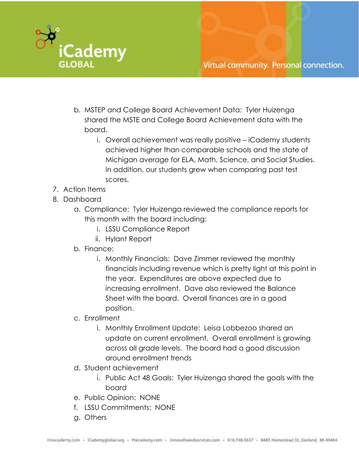

- b. MSTEP and College Board Achievement Data: Tyler Huizenga shared the MSTE and College Board Achievement data with the board.
	- i. Overall achievement was really positive iCademy students achieved higher than comparable schools and the state of Michigan average for ELA, Math, Science, and Social Studies. In addition, our students grew when comparing past test scores.
- 7. Action Items
- 8. Dashboard
	- a. Compliance: Tyler Huizenga reviewed the compliance reports for this month with the board including:
		- i. LSSU Compliance Report
		- ii. Hylant Report
	- b. Finance:
		- i. Monthly Financials: Dave Zimmer reviewed the monthly financials including revenue which is pretty light at this point in the year. Expenditures are above expected due to increasing enrollment. Dave also reviewed the Balance Sheet with the board. Overall finances are in a good position.
	- c. Enrollment
		- i. Monthly Enrollment Update: Leisa Lobbezoo shared an update on current enrollment. Overall enrollment is growing across all grade levels. The board had a good discussion around enrollment trends
	- d. Student achievement
		- i. Public Act 48 Goals: Tyler Huizenga shared the goals with the board
	- e. Public Opinion: NONE
	- f. LSSU Commitments: NONE
	- g. Others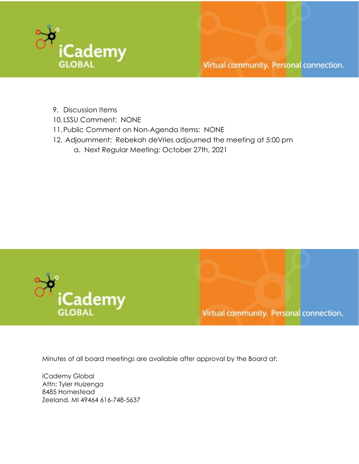

- 9. Discussion Items
- 10. LSSU Comment: NONE
- 11.Public Comment on Non-Agenda Items: NONE
- 12. Adjournment: Rebekah deVries adjourned the meeting at 5:00 pm a. Next Regular Meeting: October 27th, 2021



Virtual community. Personal connection.

Minutes of all board meetings are available after approval by the Board at:

iCademy Global Attn: Tyler Huizenga 8485 Homestead Zeeland, MI 49464 616-748-5637